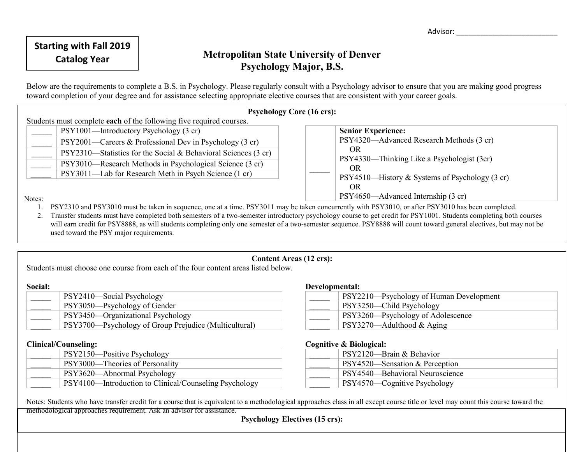Advisor: \_\_\_\_\_\_\_\_\_\_\_\_\_\_\_\_\_\_\_\_\_\_\_\_\_

# **Catalog Year Metropolitan State University of Denver Psychology Major, B.S.**

Below are the requirements to complete a B.S. in Psychology. Please regularly consult with a Psychology advisor to ensure that you are making good progress toward completion of your degree and for assistance selecting appropriate elective courses that are consistent with your career goals.

| <b>Psychology Core (16 crs):</b>                                                                                                                   |                                                   |  |  |
|----------------------------------------------------------------------------------------------------------------------------------------------------|---------------------------------------------------|--|--|
| Students must complete each of the following five required courses.                                                                                |                                                   |  |  |
| PSY1001-Introductory Psychology (3 cr)                                                                                                             | <b>Senior Experience:</b>                         |  |  |
| PSY2001—Careers & Professional Dev in Psychology (3 cr)                                                                                            | PSY4320—Advanced Research Methods (3 cr)          |  |  |
| PSY2310—Statistics for the Social & Behavioral Sciences (3 cr)                                                                                     | OR.                                               |  |  |
| PSY3010—Research Methods in Psychological Science (3 cr)                                                                                           | PSY4330—Thinking Like a Psychologist (3cr)<br>OR. |  |  |
| PSY3011—Lab for Research Meth in Psych Science (1 cr)                                                                                              | $PSY4510$ —History & Systems of Psychology (3 cr) |  |  |
|                                                                                                                                                    | OR.                                               |  |  |
| Notes:                                                                                                                                             | PSY4650—Advanced Internship (3 cr)                |  |  |
| PSY2310 and PSY3010 must be taken in sequence, one at a time. PSY3011 may be taken concurrently with PSY3010, or after PSY3010 has been completed. |                                                   |  |  |

2. Transfer students must have completed both semesters of a two-semester introductory psychology course to get credit for PSY1001. Students completing both courses will earn credit for PSY8888, as will students completing only one semester of a two-semester sequence. PSY8888 will count toward general electives, but may not be used toward the PSY major requirements.

## **Content Areas (12 crs):**

Students must choose one course from each of the four content areas listed below.

### **Social:**

| PSY2410-Social Psychology                             |
|-------------------------------------------------------|
| PSY3050—Psychology of Gender                          |
| PSY3450—Organizational Psychology                     |
| PSY3700—Psychology of Group Prejudice (Multicultural) |

## **Clinical/Counseling:**

| PSY2150—Positive Psychology                            |
|--------------------------------------------------------|
| PSY3000—Theories of Personality                        |
| PSY3620—Abnormal Psychology                            |
| PSY4100—Introduction to Clinical/Counseling Psychology |

### **Developmental:**

| PSY2210—Psychology of Human Development |
|-----------------------------------------|
| PSY3250—Child Psychology                |
| PSY3260—Psychology of Adolescence       |
| $PSY3270$ —Adulthood & Aging            |

## **Cognitive & Biological:**

| PSY2120—Brain & Behavior          |
|-----------------------------------|
| $PSY4520$ —Sensation & Perception |
| PSY4540—Behavioral Neuroscience   |
| PSY4570—Cognitive Psychology      |

Notes: Students who have transfer credit for a course that is equivalent to a methodological approaches class in all except course title or level may count this course toward the methodological approaches requirement. Ask an advisor for assistance.

**Psychology Electives (15 crs):**